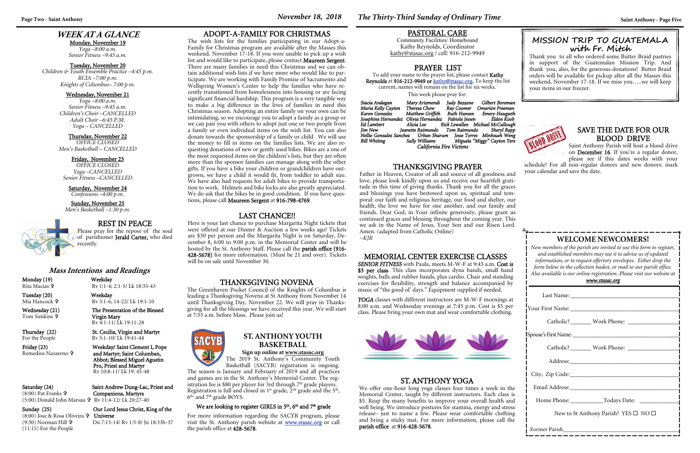### **WEEK AT A GLANCE**

Monday, November 19 *Yoga –8:00 a.m. Senior Fitness –9:45 a.m.* 

#### Tuesday, November 20

*Children & Youth Ensemble Practice –4:45 p.m. RCIA –7:00 p.m. Knights of Columbus– 7:00 p.m.* 

#### Wednesday, November 21

*Yoga –8:00 a.m. Senior Fitness –9:45 a.m. Children's Choir –CANCELLED Adult Choir –6:45 P.M. Yoga – CANCELLED* 

#### Thursday, November 22

*OFFICE CLOSED Men's Basketball – CANCELLED* 

#### Friday, November 23

| Home Phone: Todays Date:                             |  |  |  |
|------------------------------------------------------|--|--|--|
| New to St Anthony Parish? YES $\square$ NO $\square$ |  |  |  |
|                                                      |  |  |  |

*OFFICE CLOSED Yoga –CANCELLED Senior Fitness –CANCELLED* 

Saturday, November 24 *Confessions –4:00 p.m.* 

### Sunday, November 25

*Men's Basketball –1:30 p.m.* 



### **WELCOME NEWCOMERS!**

*New members of the parish are invited to use this form to register, and established members may use it to advise us of updated information, or to request offertory envelopes. Either drop the form below in the collection basket, or mail to our parish office. Also available is our online registration. Please visit our website at* 

Thursday (22) St. Cecilia, Virgin and Martyr For the People Rv 5:1-10/ Lk 19:41-44

#### *www.stasac.org*

(8:00) Jose & Rosa Oliveira <sup>a</sup>r Universe (9:30) Norman Hill (11:15) For the People

YOGA classes with different instructors are M-W-F mornings at 8:00 a.m. and Wednesday evenings at 7:45 p.m. Cost is \$5 per class. Please bring your own mat and wear comfortable clothing.



## REST IN PEACE

Please pray for the repose of the soul of parishioner Jerald Carter, who died recently.

#### **Mass Intentions and Readings**

Monday (19) Weekday Rita Macias

Rv 1:1-4; 2:1-5/ Lk 18:35-43

Tuesday (20) Weekday Mia Hancock

 Rv 3:1-6, 14-22/ Lk 19:1-10 Wednesday (21) The Presentation of the Blessed

Tom Simkins

Father in Heaven, Creator of all and source of all goodness and love, please look kindly upon us and receive our heartfelt gratitude in this time of giving thanks. Thank you for all the graces and blessings you have bestowed upon us, spiritual and temporal: our faith and religious heritage, our food and shelter, our health, the love we have for one another, and our family and friends. Dear God, in Your infinite generosity, please grant us continued graces and blessing throughout the coming year. This we ask in the Name of Jesus, Your Son and our Risen Lord. Amen. (adapted from Catholic Online)  $-KIR$ 

 Virgin Mary Rv 4:1-11/ Lk 19:11-28

Remedios Nazareno

Friday (23) Weekday/ Saint Clement I, Pope and Martyr; Saint Columban, Abbot; Blessed Miguel Agustin Pro, Priest and Martyr Rv 10:8-11/ Lk 19: 45-48

### Saturday (24) Saint Andrew Dung-Lac, Priest and Companions, Martyrs

(8:00) Pat Franks (5:00) Donald John Marsau Rv 11:4-12/ Lk 20:27-40

# Sunday (25) Our Lord Jesus Christ, King of the

Dn 7:13-14/ Rv 1:5-8/ Jn 18:33b-37

### **Page Two - Saint Anthony** *Saint Anthony - Page Five**November 18, 2018 <b><i>November 18, 2018 The Thirty-Third Sunday of Ordinary Time Saint Anthony - Page Five*

#### MEMORIAL CENTER EXERCISE CLASSES

*SENIOR FITNESS* with Paula, meets M-W-F at 9:45 a.m. Cost is \$3 per class. This class incorporates dyna bands, small hand weights, balls and rubber bands, plus cardio. Chair and standing exercises for flexibility, strength and balance accompanied by music of "the good ol' days." Equipment supplied if needed.

#### PRAYER LIST

To add your name to the prayer list, please contact Kathy Reynolds at 916-212-9949 or kathy@stasac.org. To keep the list current, names will remain on the list for six weeks. This week please pray for:

The 2019 St. Anthony's Community Youth Basketball (SACYB) registration is ongoing.

The season is January and February of 2019 and all practices and games are in the St. Anthony's Memorial Center. The registration fee is \$80 per player for 3rd through  $7<sup>th</sup>$  grade players. Registration is full and closed in  $1<sup>st</sup>$  grade,  $2<sup>nd</sup>$  grade and the  $5<sup>th</sup>$ ,  $6<sup>th</sup>$ , and  $7<sup>th</sup>$  grade BOYS.

#### We are looking to register GIRLS in 5<sup>th</sup>, 6<sup>th</sup> and 7<sup>th</sup> grade

| Stacia Andagan                                                  | Mary Arizmendi   | Judy Bezzone | Gilbert Boreman                            |  |  |
|-----------------------------------------------------------------|------------------|--------------|--------------------------------------------|--|--|
| Maria Kelly Cayton                                              | Theresa Chow     |              | Ray Coomer Omarion Freeman                 |  |  |
| Karen Gonzales                                                  | Matthew Griffith |              | Ruth Hansen Emery Haugseth                 |  |  |
| Josephine Hernandez Olivia Hernandez                            |                  |              | Fabiola Jessen               Eldon Koob    |  |  |
| Ed Lambert                                                      | Alicia Lee       |              | Rick Lewallen Michael McCullough           |  |  |
| <b>Jim New</b>                                                  |                  |              | Jeanette Raimundo Tom Raimundo Sheryl Rapp |  |  |
| Nellie Gonzalez Sanchez Urban Sharum Jesse Torres Minhsueh Weng |                  |              |                                            |  |  |
| Bill Whiting                                                    | Sally Williams   |              | Miguela "Miggy" Cayton Yere                |  |  |
| California Fire Victims                                         |                  |              |                                            |  |  |

#### PASTORAL CARE

Community Facilities/ Homebound Kathy Reynolds, Coordinator kathy@stasac.org / cell: 916-212-9949

#### THANKSGIVING PRAYER

#### SAVE THE DATE FOR OUR BLOOD DRIVE

Saint Anthony Parish will host a blood drive on December 16. If you're a regular donor, please see if this dates works with your

schedule! For all non-regular donors and new donors: mark your calendar and save the date.

### ST. ANTHONY YOGA

We offer one-hour long yoga classes four times a week in the Memorial Center, taught by different instructors. Each class is \$5. Reap the many benefits to improve your overall health and well being. We introduce postures for stamina, energy and stress release– just to name a few. Please wear comfortable clothing and bring a sticky mat. For more information, please call the parish office at 916-428-5678.

### LAST CHANCE!!

Here is your last chance to purchase Margarita Night tickets that were offered at our Dinner & Auction a few weeks ago! Tickets are \$30 per person and the Margarita Night is on Saturday, December 8, 6:00 to 9:00 p.m. in the Memorial Center and will be hosted by the St. Anthony Staff. Please call the parish office (916- 428-5678) for more information. (Must be 21 and over). Tickets will be on sale until November 30.

### **MISSION TRIP TO GUATEM ALA with Fr. Mitch**

Thank you to all who ordered some Butter Braid pastries in support of the Guatemalan Mission Trip. And thank you, also, for the generous donations! Butter Braid orders will be available for pickup after all the Masses this weekend, November 17-18. If we miss you…..we will keep your items in our freezer.



#### THANKSGIVING NOVENA

The Greenhaven Pocket Council of the Knights of Columbus is leading a Thanksgiving Novena at St Anthony from November 14 until Thanksgiving Day, November 22. We will pray in Thanksgiving for all the blessings we have received this year. We will start at 7:55 a.m. before Mass. Please join us!



### **ST. ANTHONY YOUTH BASKETBALL**

### **Sign up online at www.stasac.org**

For more information regarding the SACYB program, please visit the St. Anthony parish website at www.stasac.org or call the parish office at 428-5678.

#### ADOPT-A-FAMILY FOR CHRISTMAS

The wish lists for the families participating in our Adopt-a-Family for Christmas program are available after the Masses this weekend, November 17-18. If you were unable to pick up a wish list and would like to participate, please contact Maureen Sergent. There are many families in need this Christmas and we can obtain additional wish lists if we have more who would like to participate. We are working with Family Promise of Sacramento and Wellspring Women's Center to help the families who have recently transitioned from homelessness into housing or are facing significant financial hardship. This program is a very tangible way to make a big difference in the lives of families in need this Christmas season. Adopting an entire family on your own can be intimidating, so we encourage you to adopt a family as a group or we can pair you with others to adopt just one or two people from a family or even individual items on the wish list. You can also donate towards the sponsorship of a family or child. We will use the money to fill in items on the families lists. We are also requesting donations of new or gently used bikes. Bikes are a one of the most requested items on the children's lists, but they are often more than the sponsor families can manage along with the other gifts. If you have a bike your children or grandchildren have outgrown, we have a child it would fit, from toddler to adult size. We have also had requests for adult bikes to provide transportation to work. Helmets and bike locks are also greatly appreciated. We do ask that the bikes be in good condition. If you have questions, please call Maureen Sergent at 916-798-4769.